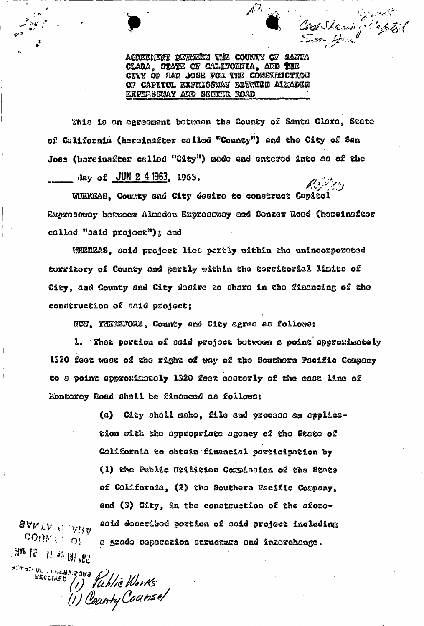Cost Shering Safet

AGREEKENT BETHEEN THE COUNTY OF SANTA CLARA, STATE OF CALIFORNIA, AND THE CITY OF SAN JOSE FOR THE CONSTITUCTION OF CAPITOL EXPELSSWAY BETUEEN ALMADEN EXPRESSUAY AND SENTER ROAD

This is an agreement between the County of Santa Clare, State of California (hereinafter called "County") and the City of San Jose (horeinafter called "City") made and entered into as of the day of  $JUN 2 4 1963$ , 1963.

WIEREAS, County and City desire to construct Capitol Expressway between Almeden Expressway and Senter Road (hereinafter called "caid project"); and

WEREAS, said project lies partly within the unincorporated torritory of County and portly within the territorial limits of City, and County and City desire to share in the financing of the conderuction of daid project;

NOW. THEREPORE, County and City agree as follows:

1. Thet portion of said project between a point approximately 1320 feet west of the right of way of the Southern Pacific Company to a point approximately 1320 feet easterly of the cast line of Monterey Road shall be financed as follows:

> City shall make, file and process an applica-(a) tion with the appropriate agency of the State of California to obtain financial participation by (1) the Public Utilities Cormission of the State of Colifornia, (2) the Southern Pacific Company, and (3) City, in the construction of the aforosaid described portion of said project including a grade coperation atructure and interchange.

SANTA GLARA cometion 部12 日本開設

SECTIVES (1) Vublic Works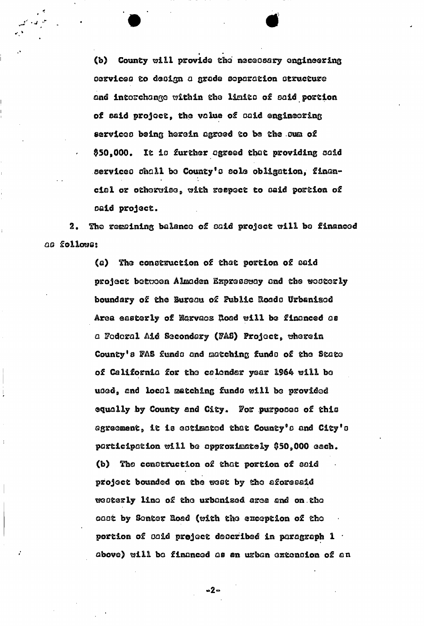County will provide the necessary engineering  $(b)$ (b) County will provide the necessary engineering  $\mathcal{L}$ cervice o grade separation at rust of the separation at the separation of the separation at  $\alpha$ and interchange within the liaito of oaid portion of aaid project, the value of oaid engineering serviceo being herein agreed to be the .oiaa of \$50.000. It is further agreed that providing said serviceo ohall bo County's oole obligation, financial or otherwise,, with reepect to oaid portion of oaid project.

**• «** 

2. The regaining balance of oaid project will bo financed *qq* follows®

> (a) She construction of that portion of oaid project between Aliaaden Expressway and the westerly boundary of the Bureau of Public Roado Urbanised Area easterly of Narvaoz Road will be financed as a Federal Aid Secondary (FAS) Project, wherein County's FAS funds and matching funds of the State of California for the calendar year 1964 will be uoed, and local matching funds will be provided equally by County and City. For purpooeo of this agreement, it is estimated that County's and City's participation will be approximately \$50,000 each. (b) the construction of that portion of oaid project bounded on the west by the aforesaid weoterly lino of the urbanised, area and on.the ©aot by Sonter Road (&ith the exception of tho portion of oaid project described in paragraph 1 ' above) will be financed as an urban extenoion of an

> > **-2-**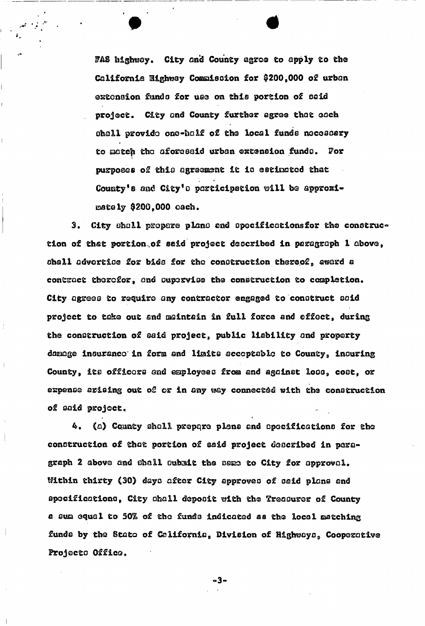FAS highway. City and County agree to apply to the California Highway Commission for \$200,000 of urban extension funds for use on this portion of said project. City and County further agree that each shall provide one-half of the local funds necessary to match the aforesaid urban extension funds. For purposes of this agreement it is estimated that County's and City's participation will be approximately \$200,000 oach.

**• \*** 

3. City shall prepare plans and opecificationsfor the construction of that portion.of said project described in paragraph 1 above, shall advertise for bids for the construction thereof, award a contract therefor, and supervise the construction to completion. City agrees to require any contractor engaged to construct said project to take out and maintain in full force and effect, during the construction of said project, public liability and property daaage insurance in form and liaits acceptable to County, inouring County, its officers and employees from and against loss, cost, or expense arising out of or in any way connected with the construction of said project.

(a) County shall prepqre plans and specifications for the construction of that portion of said project described in paragraph 2 above and shall subait the same to City for approval. Within thirty (30) days after City approves of said plans and specifications, City shall deposit with the Treasurer of County a sua equal to 50% of the funds indicated as the local matching funds by the State of California, Division of Highways, Cooperative Frojecto Office.

 $\bullet$  . The set of the set of the set of the set of the set of the set of the set of the set of the set of the set of the set of the set of the set of the set of the set of the set of the set of the set of the set of the s

**3**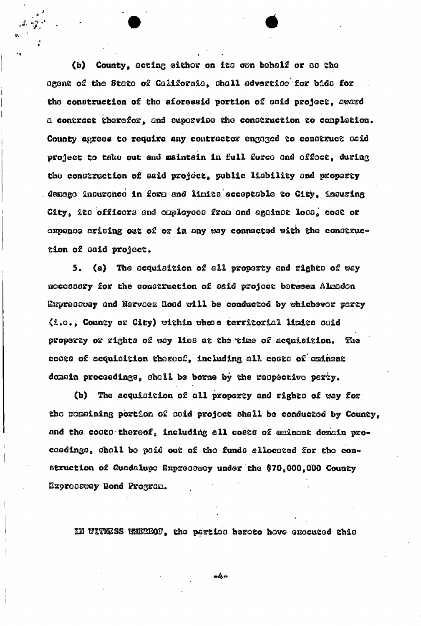(b) County, acting eithor on its own behalf or as the agent of the State of California, shall advertise for bids for the construction of the aforesaid portion of said project, award a contract therefor, and supervise the construction to completion. County agrees to require any contractor engaged to construct said project to take out and maintain in full force and offect, during the construction of said project, public lisbility and proparty demage incurance in form and limits acceptable to City, inquring City, its officers and employees from and against loss, cost or expense arising out of or in any way connected with the construction of said project.

 $5.$ (a) The acquisition of all property and rights of way nocossary for the construction of said project between Almadon Expressury and Narvaez Road will be conducted by whichever party (1.0., County or City) within whose territorial limits suid property or rights of way lies at the time of acquisition. The costs of acquisition thereof, including all costs of eminent donain proceedings, shall be borne by the respective party.

(b) The acquisition of all property and rights of way for the remaining portion of caid project shall be conducted by County, and the costs thereof, including all costs of eminent demain proceedings, shall be paid out of the funds allocated for the construction of Guadalupo Expressway under the \$70,000,000 County Expressway Bond Program.

IN UITRESS WHEREOF, the partico heroto hove executed this

 $-4-$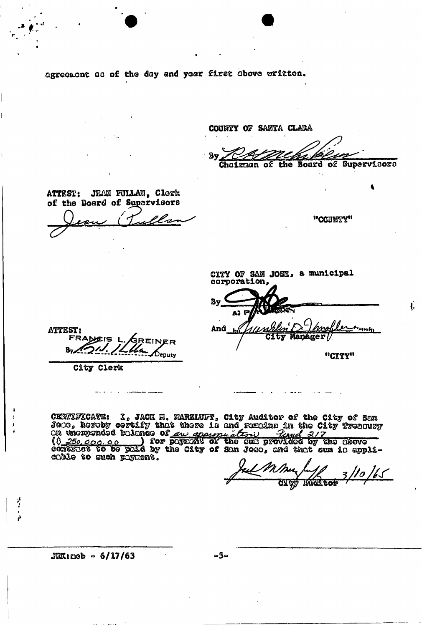agreement as of the day and year first above written.

COUNTY OF SANTA CLARA Choirman of the Board of Supervicors ATTEST: JEAN FULLAN, Clork of the Board of Supervisors "COUNTY" CITY OF SAN JOSE, a municipal corporation, By \*\*\*\*\*\*\*\* And **ATTEST:** City Mapager/ EINER  $By \nightharpoonup$ Deputy "CITY" City Clerk

CEWALFICATE: I, JACK M. MARZINFT, City Auditor of the City of San<br>Jeos, hereby certify that there is and regulas in the City Treadury<br>On unorgended balance of <u>any appropriate is the City Treadury</u><br>(0 250,000,000) for pays cable to such payment.

 $110/65$ 

 $JRR:$ neb - 6/17/63

 $-5-$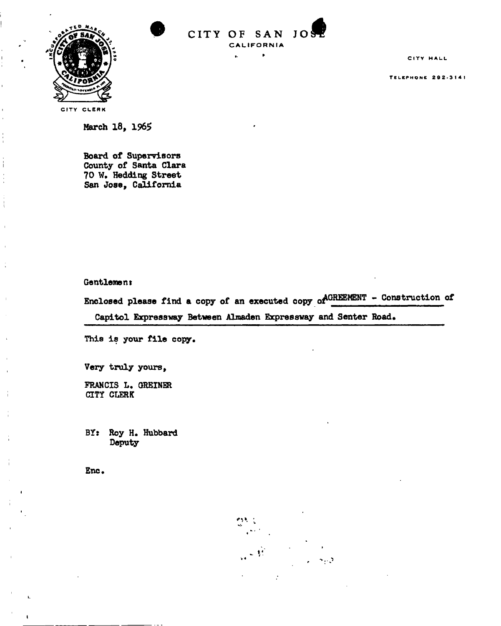



 $\ddot{\phantom{a}}$ 

 $\bullet$ 

CITY HALL

TELEPHONE 202-3141

CITY CLERK

March 18, 1965

Board of Supervisors County of Santa Clara 70 W. Hedding Street San Jose, California

Gentlemen:

Enclosed please find a copy of an executed copy of  $A^{GREEMENT}$  - Construction of

Capitol Expressway Between Almaden Expressway and Senter Road.

This is your file copy.

Very truly yours,

FRANCIS L. GREINER CITY CLERK

BY: Roy H. Hubbard Deputy

Enc

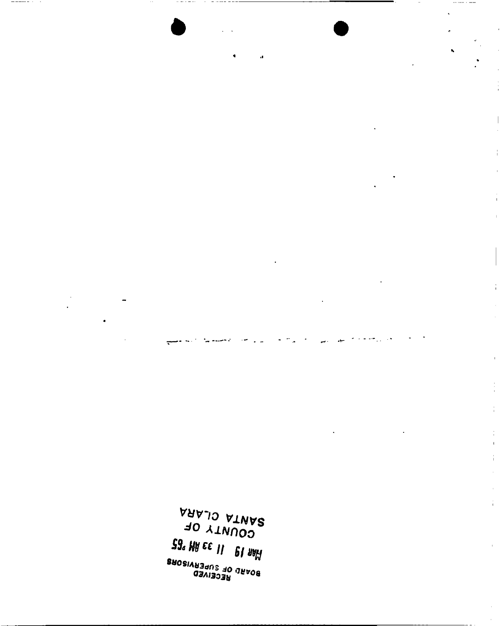SANTA CLARA<br>SANTA CLARA **Eg** WA EE 11 **PL AAH** Bagar (1958)<br>Bagar (1950)<br>Bagar (1950)

 $\frac{1}{1}$ 

 $\overline{1}$ 

 $\bar{1}$ 

÷,

 $\mathbf{r}$ 

 $\ddot{\cdot}$  $\bar{1}$  $\frac{1}{4}$ 

 $- - - - - - -$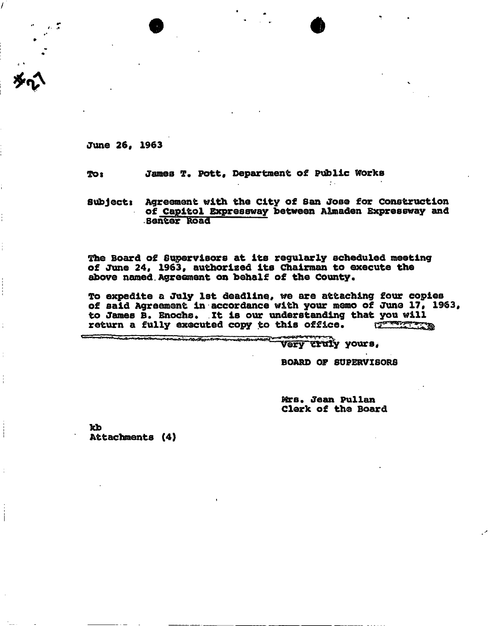**June 26, 1963** 

To: James Pott, Department of Public Works

**subjects Agreement with the City of San Jose for Construction of Capitol Expressway between Almaden Expressway and Senter Road** 

**'The Board of Supervisors at its regularly scheduled meeting of June 24, 1963, authorized its Chairman to execute the above named. Agreement on behalf of the County.** 

**To expedite a July 1st deadline, we are attaching four copies of said Agreement in accordance with your memo of June 17, 1963,**  to James B. Enochs. It is our understanding that you will return a fully executed copy to this office. return a fully executed copy to this office.

**yours** 

**BOARD OP SUPERVISORS** 

**Mrs. Jean Pullan Clerk of the Board** 

**kb Attachments (4)**